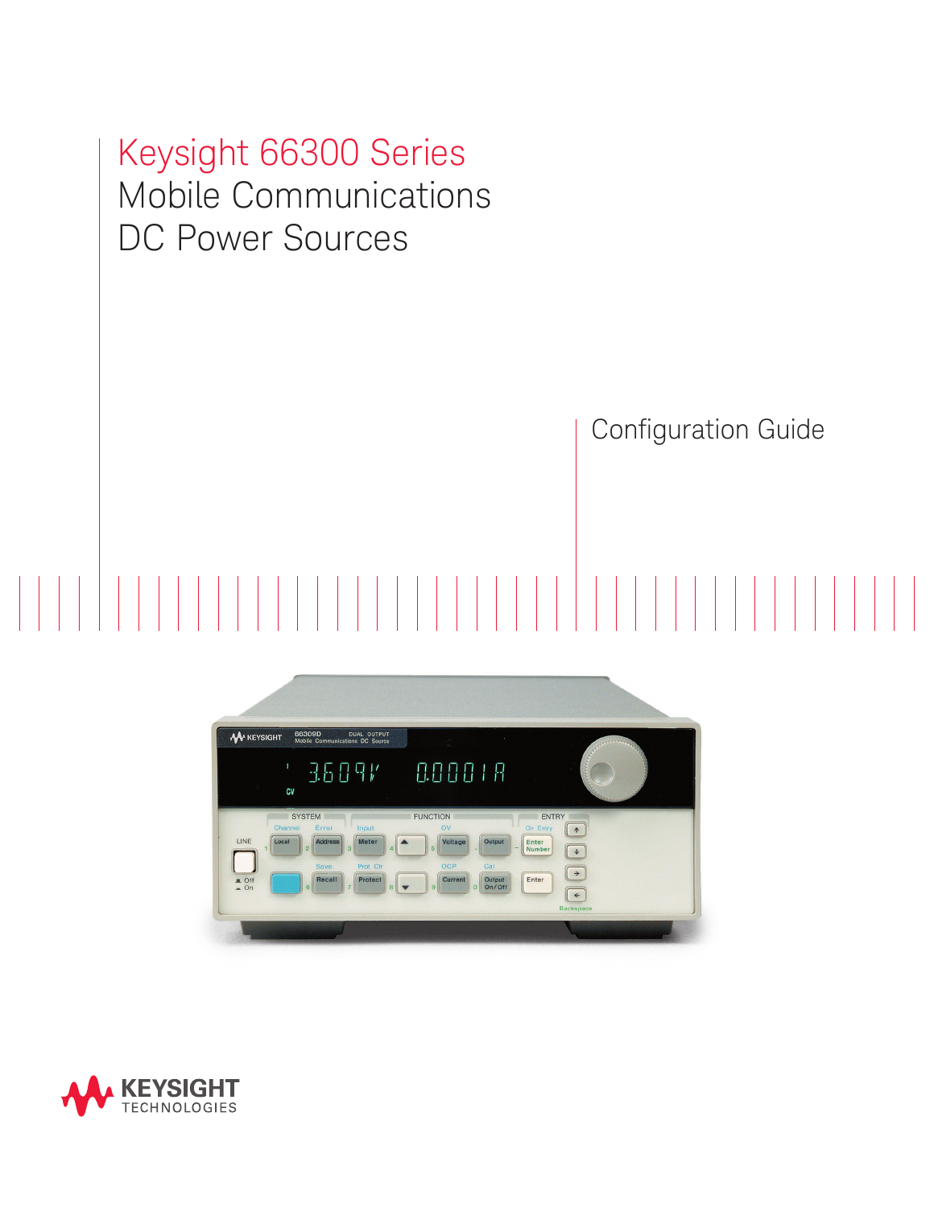# Keysight 66300 Series Mobile Communications DC Power Sources

Configuration Guide



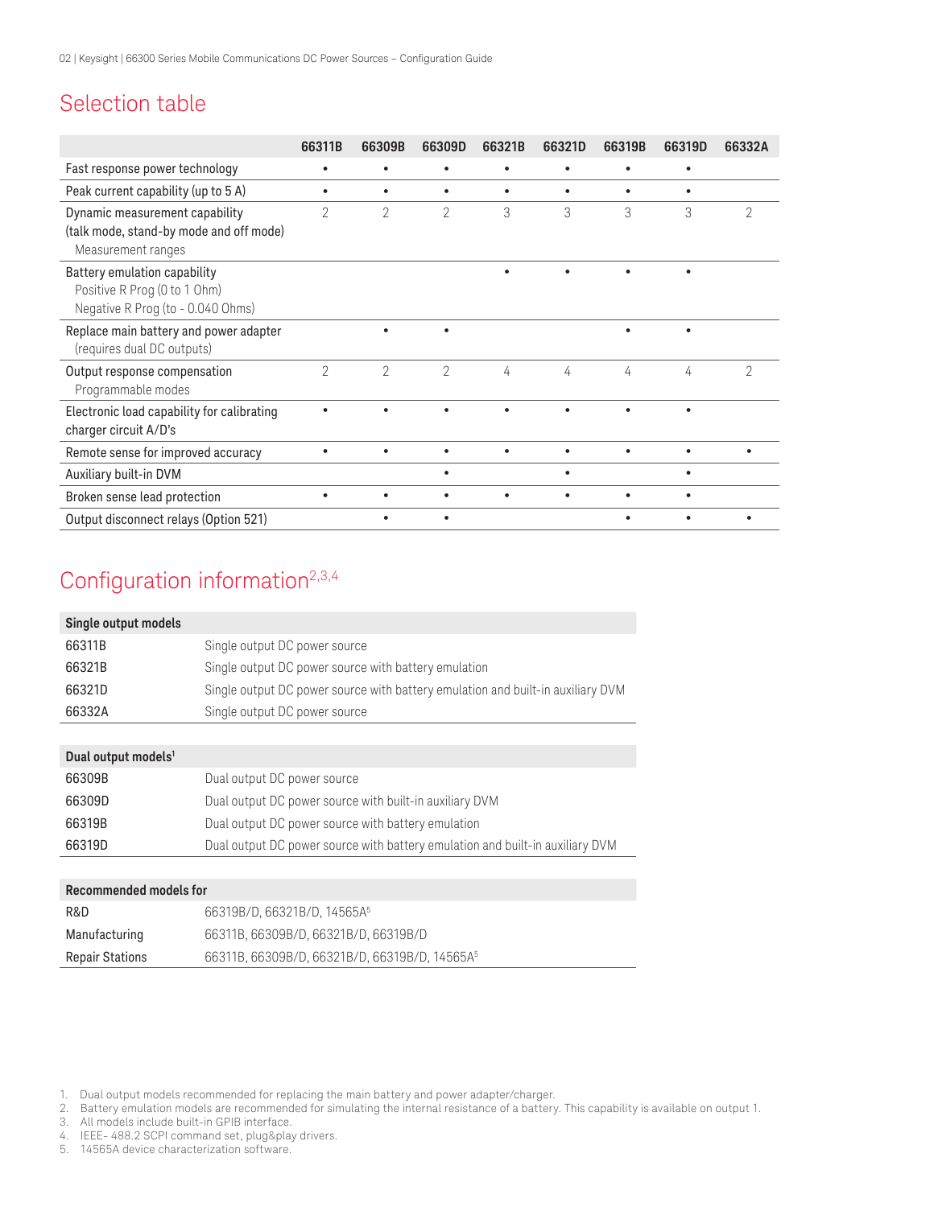## Selection table

|                                                                                                   | 66311B         | 66309B         | 66309D         | 66321B    | 66321D    | 66319B    | 66319D    | 66332A         |
|---------------------------------------------------------------------------------------------------|----------------|----------------|----------------|-----------|-----------|-----------|-----------|----------------|
| Fast response power technology                                                                    | ٠              |                | ٠              | $\bullet$ |           | ٠         | $\bullet$ |                |
| Peak current capability (up to 5 A)                                                               | $\bullet$      | $\bullet$      | $\bullet$      | $\bullet$ | $\bullet$ | ٠         | $\bullet$ |                |
| Dynamic measurement capability<br>(talk mode, stand-by mode and off mode)<br>Measurement ranges   | $\overline{2}$ | $\overline{2}$ | 2              | 3         | 3         | 3         | 3         | 2              |
| Battery emulation capability<br>Positive R Prog (0 to 1 Ohm)<br>Negative R Prog (to - 0.040 Ohms) |                |                |                |           |           |           |           |                |
| Replace main battery and power adapter<br>(requires dual DC outputs)                              |                |                | ٠              |           |           | ٠         | ٠         |                |
| Output response compensation<br>Programmable modes                                                | $\mathcal{P}$  | $\overline{2}$ | $\overline{2}$ | 4         | 4         | 4         | 4         | $\overline{2}$ |
| Electronic load capability for calibrating<br>charger circuit A/D's                               |                |                |                |           |           |           | $\bullet$ |                |
| Remote sense for improved accuracy                                                                | $\bullet$      |                | ٠              | $\bullet$ |           | $\bullet$ | $\bullet$ | ٠              |
| Auxiliary built-in DVM                                                                            |                |                | $\bullet$      |           | $\bullet$ |           | $\bullet$ |                |
| Broken sense lead protection                                                                      | $\bullet$      |                |                | $\bullet$ |           | $\bullet$ | $\bullet$ |                |
| Output disconnect relays (Option 521)                                                             |                |                | ٠              |           |           |           |           |                |

## Configuration information<sup>2,3,4</sup>

| Single output models |                                                                                 |
|----------------------|---------------------------------------------------------------------------------|
| 66311B               | Single output DC power source                                                   |
| 66321B               | Single output DC power source with battery emulation                            |
| 66321D               | Single output DC power source with battery emulation and built-in auxiliary DVM |
| 66332A               | Single output DC power source                                                   |

#### **Dual output models1**

| 66309B | Dual output DC power source                                                   |
|--------|-------------------------------------------------------------------------------|
| 66309D | Dual output DC power source with built-in auxiliary DVM                       |
| 66319B | Dual output DC power source with battery emulation                            |
| 66319D | Dual output DC power source with battery emulation and built-in auxiliary DVM |

#### **Recommended models for**

| R&D                    | 66319B/D, 66321B/D, 14565A <sup>5</sup>                   |
|------------------------|-----------------------------------------------------------|
| Manufacturing          | 66311B, 66309B/D, 66321B/D, 66319B/D                      |
| <b>Repair Stations</b> | 66311B, 66309B/D, 66321B/D, 66319B/D, 14565A <sup>5</sup> |

- 3. All models include built-in GPIB interface.
- 4. IEEE- 488.2 SCPI command set, plug&play drivers.
- 14565A device characterization software.

<sup>1.</sup> Dual output models recommended for replacing the main battery and power adapter/charger.

<sup>2.</sup> Battery emulation models are recommended for simulating the internal resistance of a battery. This capability is available on output 1.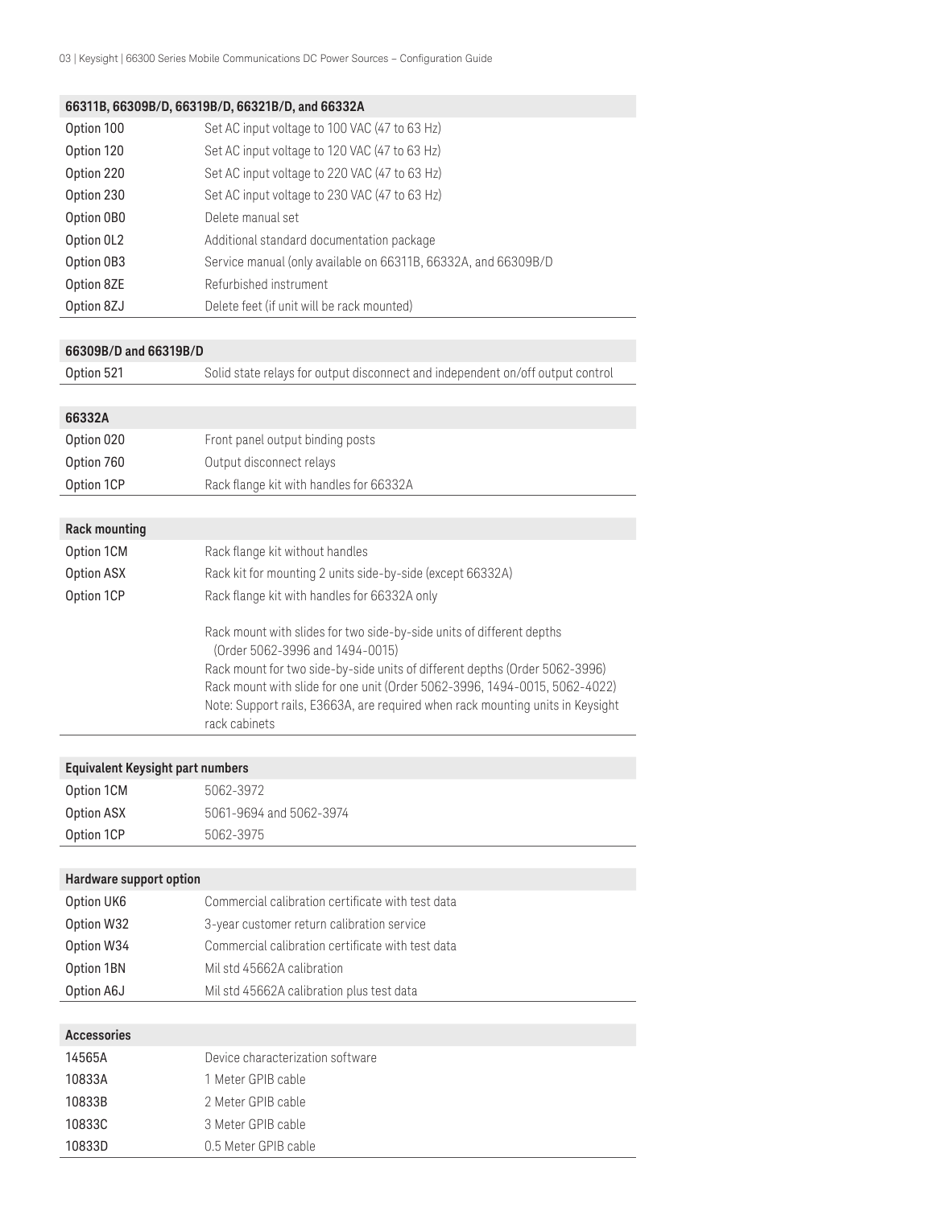#### **66311B, 66309B/D, 66319B/D, 66321B/D, and 66332A**

| Option 100 | Set AC input voltage to 100 VAC (47 to 63 Hz)                  |
|------------|----------------------------------------------------------------|
| Option 120 | Set AC input voltage to 120 VAC (47 to 63 Hz)                  |
| Option 220 | Set AC input voltage to 220 VAC (47 to 63 Hz)                  |
| Option 230 | Set AC input voltage to 230 VAC (47 to 63 Hz)                  |
| Option OBO | Delete manual set                                              |
| Option OL2 | Additional standard documentation package                      |
| Option 0B3 | Service manual (only available on 66311B, 66332A, and 66309B/D |
| Option 8ZE | Refurbished instrument                                         |
| Option 8ZJ | Delete feet (if unit will be rack mounted)                     |

#### **66309B/D and 66319B/D**

Option 521 Solid state relays for output disconnect and independent on/off output control

#### **66332A**

| Option 020 | Front panel output binding posts        |
|------------|-----------------------------------------|
| Option 760 | Output disconnect relays                |
| Option 1CP | Rack flange kit with handles for 66332A |
|            |                                         |

### **Rack mounting**

| Option 1CM        | Rack flange kit without handles                                                                                                                                                                                                                                                                                                                                          |
|-------------------|--------------------------------------------------------------------------------------------------------------------------------------------------------------------------------------------------------------------------------------------------------------------------------------------------------------------------------------------------------------------------|
| <b>Option ASX</b> | Rack kit for mounting 2 units side-by-side (except 66332A)                                                                                                                                                                                                                                                                                                               |
| Option 1CP        | Rack flange kit with handles for 66332A only                                                                                                                                                                                                                                                                                                                             |
|                   | Rack mount with slides for two side-by-side units of different depths<br>(Order 5062-3996 and 1494-0015)<br>Rack mount for two side-by-side units of different depths (Order 5062-3996)<br>Rack mount with slide for one unit (Order 5062-3996, 1494-0015, 5062-4022)<br>Note: Support rails, E3663A, are required when rack mounting units in Keysight<br>rack cabinets |

#### **Equivalent Keysight part numbers**

| Option 1CP | 5062-3975               |
|------------|-------------------------|
| Option ASX | 5061-9694 and 5062-3974 |
| Option 1CM | 5062-3972               |

| Hardware support option |                                                   |
|-------------------------|---------------------------------------------------|
| Option UK6              | Commercial calibration certificate with test data |
| Option W32              | 3-year customer return calibration service        |
| Option W34              | Commercial calibration certificate with test data |
| Option 1BN              | Mil std 45662A calibration                        |
| Option A6J              | Mil std 45662A calibration plus test data         |

| <b>Accessories</b> |                                  |
|--------------------|----------------------------------|
| 14565A             | Device characterization software |
| 10833A             | 1 Meter GPIB cable               |
| 10833B             | 2 Meter GPIB cable               |
| 10833C             | 3 Meter GPIB cable               |
| 10833D             | 0.5 Meter GPIB cable             |